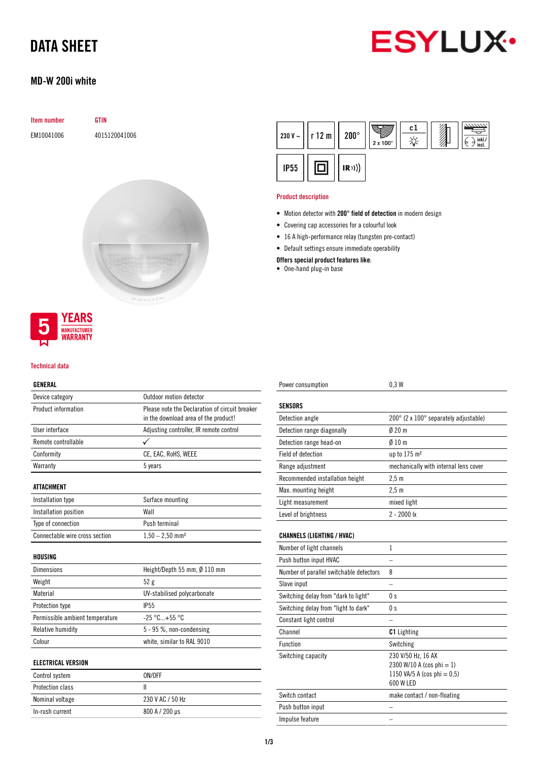# DATA SHEET



### MD-W 200i white

| Item number |  |  |  |  |
|-------------|--|--|--|--|
|-------------|--|--|--|--|

EM10041006 4015120041006

GTIN





#### Technical data

#### GENERAL

| Device category                 | Outdoor motion detector                        |
|---------------------------------|------------------------------------------------|
| Product information             | Please note the Declaration of circuit breaker |
|                                 | in the download area of the product!           |
| User interface                  | Adjusting controller, IR remote control        |
| Remote controllable             |                                                |
| Conformity                      | CE, EAC, RoHS, WEEE                            |
| Warranty                        | 5 years                                        |
| <b>ATTACHMENT</b>               |                                                |
| Installation type               | Surface mounting                               |
| Installation position           | Wall                                           |
| Type of connection              | Push terminal                                  |
| Connectable wire cross section  | $1,50 - 2,50$ mm <sup>2</sup>                  |
| HOUSING                         |                                                |
| <b>Dimensions</b>               | Height/Depth 55 mm, Ø 110 mm                   |
| Weight                          | 52g                                            |
| Material                        | UV-stabilised polycarbonate                    |
| Protection type                 | IP <sub>55</sub>                               |
| Permissible ambient temperature | $-25 °C+55 °C$                                 |
| Relative humidity               | 5 - 95 %, non-condensing                       |
| Colour                          | white, similar to RAL 9010                     |
| <b>ELECTRICAL VERSION</b>       |                                                |
| Control system                  | ON/OFF                                         |
| <b>Protection class</b>         | $\mathbf{I}$                                   |

Nominal voltage 230 V AC / 50 Hz In-rush current 800 A / 200 µs

|             | $230 V -  r 12 m $ | $200^\circ$ | $2 \times 100^\circ$ | c1 | 777777<br>Ь<br>œ<br>incl. |
|-------------|--------------------|-------------|----------------------|----|---------------------------|
| <b>IP55</b> |                    | (R))        |                      |    |                           |

#### Product description

- Motion detector with 200° field of detection in modern design
- Covering cap accessories for a colourful look
- 16 A high-performance relay (tungsten pre-contact)
- Default settings ensure immediate operability

Offers special product features like:

• One-hand plug-in base

| Power consumption               | 0.3W                                                    |
|---------------------------------|---------------------------------------------------------|
| <b>SENSORS</b>                  |                                                         |
| Detection angle                 | $200^{\circ}$ (2 x $100^{\circ}$ separately adjustable) |
| Detection range diagonally      | Ø 20 m                                                  |
| Detection range head-on         | Ø 10 m                                                  |
| Field of detection              | up to 175 m <sup>2</sup>                                |
| Range adjustment                | mechanically with internal lens cover                   |
| Recommended installation height | 2.5 <sub>m</sub>                                        |
| Max, mounting height            | 2.5 <sub>m</sub>                                        |
| Light measurement               | mixed light                                             |
| Level of brightness             | $2 - 2000$ lx                                           |
| CHANNELS (LIGHTING / HVAC)      |                                                         |
| Number of light channels        | 1                                                       |
| Duch button input HVAC          |                                                         |

| Push button input HVAC                  |                                                                                                   |
|-----------------------------------------|---------------------------------------------------------------------------------------------------|
| Number of parallel switchable detectors | 8                                                                                                 |
| Slave input                             |                                                                                                   |
| Switching delay from "dark to light"    | 0 s                                                                                               |
| Switching delay from "light to dark"    | 0 <sup>s</sup>                                                                                    |
| Constant light control                  |                                                                                                   |
| Channel                                 | <b>C1</b> Lighting                                                                                |
| <b>Function</b>                         | Switching                                                                                         |
| Switching capacity                      | 230 V/50 Hz, 16 AX<br>2300 W/10 A (cos phi $= 1$ )<br>1150 VA/5 A (cos phi = $0.5$ )<br>600 W LED |
| Switch contact                          | make contact / non-floating                                                                       |
| Push button input                       |                                                                                                   |
| Impulse feature                         |                                                                                                   |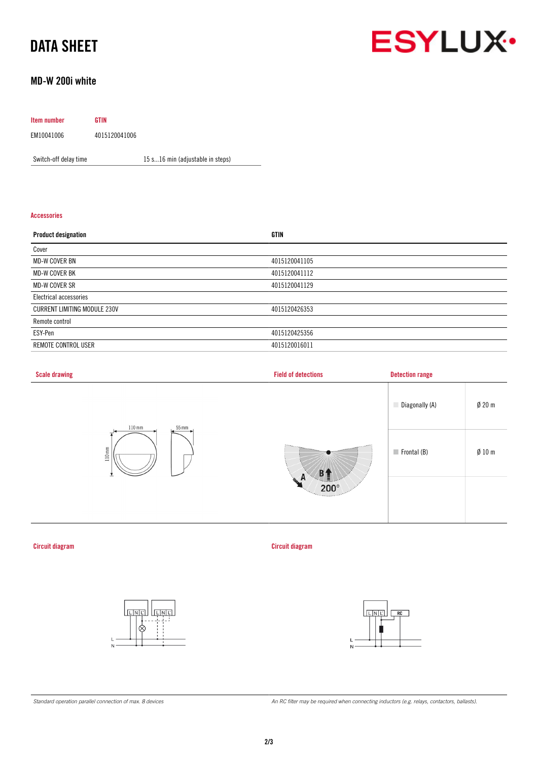## DATA SHEET

## MD-W 200i white

### Item number GTIN EM10041006 4015120041006

Switch-off delay time 15 s...16 min (adjustable in steps)

#### Accessories

| <b>Product designation</b>          | <b>GTIN</b>   |
|-------------------------------------|---------------|
| Cover                               |               |
| MD-W COVER BN                       | 4015120041105 |
| MD-W COVER BK                       | 4015120041112 |
| MD-W COVER SR                       | 4015120041129 |
| Electrical accessories              |               |
| <b>CURRENT LIMITING MODULE 230V</b> | 4015120426353 |
| Remote control                      |               |
| ESY-Pen                             | 4015120425356 |
| REMOTE CONTROL USER                 | 4015120016011 |

| <b>Scale drawing</b>                                    | <b>Field of detections</b>         | <b>Detection range</b>     |                  |
|---------------------------------------------------------|------------------------------------|----------------------------|------------------|
|                                                         |                                    | Diagonally (A)             | $\emptyset$ 20 m |
| $110 \,\mathrm{mm}$<br>55 mm<br>$110\,\mathrm{mm}$<br>┸ | <b>CRAFT</b><br>B <sup>+</sup>     | $\blacksquare$ Frontal (B) | $\emptyset$ 10 m |
|                                                         | n.<br>$200^\circ$<br>The course of |                            |                  |

Circuit diagram Circuit diagram لبنويها لبنويها  $LN$  $\overline{RC}$  $\phi$  $\mathbf{I}$  $\overline{N}$ 

*Standard operation parallel connection of max. 8 devices An RC filter may be required when connecting inductors (e.g. relays, contactors, ballasts).*